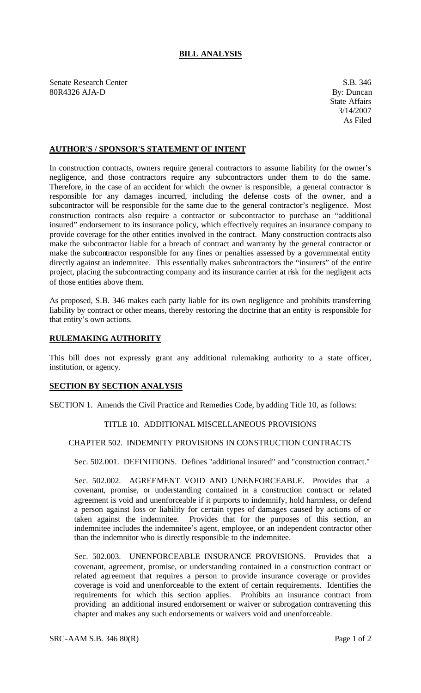# **BILL ANALYSIS**

Senate Research Center S.B. 346 80R4326 AJA-D By: Duncan

### **AUTHOR'S / SPONSOR'S STATEMENT OF INTENT**

In construction contracts, owners require general contractors to assume liability for the owner's negligence, and those contractors require any subcontractors under them to do the same. Therefore, in the case of an accident for which the owner is responsible, a general contractor is responsible for any damages incurred, including the defense costs of the owner, and a subcontractor will be responsible for the same due to the general contractor's negligence. Most construction contracts also require a contractor or subcontractor to purchase an "additional insured" endorsement to its insurance policy, which effectively requires an insurance company to provide coverage for the other entities involved in the contract. Many construction contracts also make the subcontractor liable for a breach of contract and warranty by the general contractor or make the subcontractor responsible for any fines or penalties assessed by a governmental entity directly against an indemnitee. This essentially makes subcontractors the "insurers" of the entire project, placing the subcontracting company and its insurance carrier at risk for the negligent acts of those entities above them.

As proposed, S.B. 346 makes each party liable for its own negligence and prohibits transferring liability by contract or other means, thereby restoring the doctrine that an entity is responsible for that entity's own actions.

### **RULEMAKING AUTHORITY**

This bill does not expressly grant any additional rulemaking authority to a state officer, institution, or agency.

#### **SECTION BY SECTION ANALYSIS**

SECTION 1. Amends the Civil Practice and Remedies Code, by adding Title 10, as follows:

### TITLE 10. ADDITIONAL MISCELLANEOUS PROVISIONS

## CHAPTER 502. INDEMNITY PROVISIONS IN CONSTRUCTION CONTRACTS

Sec. 502.001. DEFINITIONS. Defines "additional insured" and "construction contract."

Sec. 502.002. AGREEMENT VOID AND UNENFORCEABLE. Provides that a covenant, promise, or understanding contained in a construction contract or related agreement is void and unenforceable if it purports to indemnify, hold harmless, or defend a person against loss or liability for certain types of damages caused by actions of or taken against the indemnitee. Provides that for the purposes of this section, an indemnitee includes the indemnitee's agent, employee, or an independent contractor other than the indemnitor who is directly responsible to the indemnitee.

Sec. 502.003. UNENFORCEABLE INSURANCE PROVISIONS. Provides that a covenant, agreement, promise, or understanding contained in a construction contract or related agreement that requires a person to provide insurance coverage or provides coverage is void and unenforceable to the extent of certain requirements. Identifies the requirements for which this section applies. Prohibits an insurance contract from providing an additional insured endorsement or waiver or subrogation contravening this chapter and makes any such endorsements or waivers void and unenforceable.